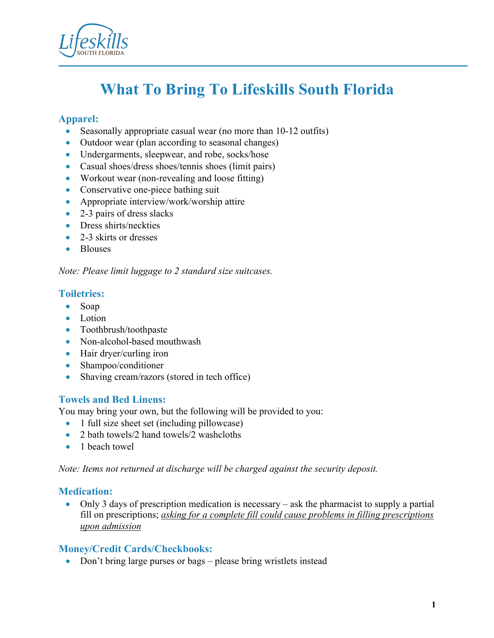

# **What To Bring To Lifeskills South Florida**

# **Apparel:**

- Seasonally appropriate casual wear (no more than 10-12 outfits)
- Outdoor wear (plan according to seasonal changes)
- Undergarments, sleepwear, and robe, socks/hose
- Casual shoes/dress shoes/tennis shoes (limit pairs)
- Workout wear (non-revealing and loose fitting)
- Conservative one-piece bathing suit
- Appropriate interview/work/worship attire
- 2-3 pairs of dress slacks
- Dress shirts/neckties
- 2-3 skirts or dresses
- Blouses

#### *Note: Please limit luggage to 2 standard size suitcases.*

## **Toiletries:**

- Soap
- Lotion
- Toothbrush/toothpaste
- Non-alcohol-based mouthwash
- Hair dryer/curling iron
- Shampoo/conditioner
- Shaving cream/razors (stored in tech office)

## **Towels and Bed Linens:**

You may bring your own, but the following will be provided to you:

- 1 full size sheet set (including pillowcase)
- 2 bath towels/2 hand towels/2 washcloths
- 1 beach towel

*Note: Items not returned at discharge will be charged against the security deposit.* 

## **Medication:**

• Only 3 days of prescription medication is necessary – ask the pharmacist to supply a partial fill on prescriptions; *asking for a complete fill could cause problems in filling prescriptions upon admission* 

## **Money/Credit Cards/Checkbooks:**

• Don't bring large purses or bags – please bring wristlets instead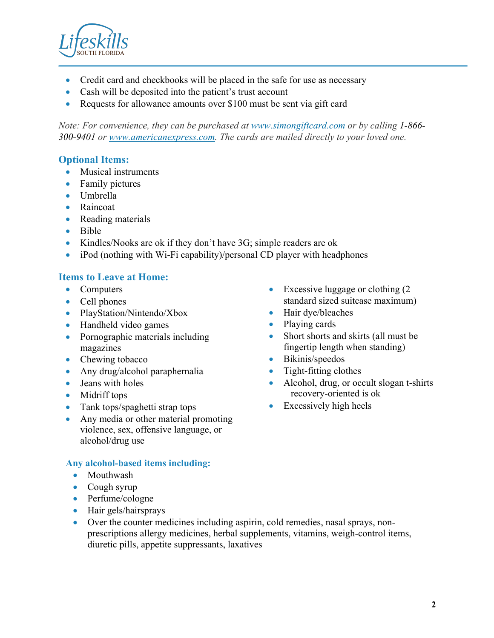

- Credit card and checkbooks will be placed in the safe for use as necessary
- Cash will be deposited into the patient's trust account
- Requests for allowance amounts over \$100 must be sent via gift card

*Note: For convenience, they can be purchased at www.simongiftcard.com or by calling 1-866- 300-9401 or www.americanexpress.com. The cards are mailed directly to your loved one.*

# **Optional Items:**

- Musical instruments
- Family pictures
- Umbrella
- Raincoat
- Reading materials
- Bible
- Kindles/Nooks are ok if they don't have 3G; simple readers are ok
- iPod (nothing with Wi-Fi capability)/personal CD player with headphones

# **Items to Leave at Home:**

- Computers
- Cell phones
- PlayStation/Nintendo/Xbox
- Handheld video games
- Pornographic materials including magazines
- Chewing tobacco
- Any drug/alcohol paraphernalia
- Jeans with holes
- Midriff tops
- Tank tops/spaghetti strap tops
- Any media or other material promoting violence, sex, offensive language, or alcohol/drug use

#### **Any alcohol-based items including:**

- Mouthwash
- Cough syrup
- Perfume/cologne
- Hair gels/hairsprays
- Over the counter medicines including aspirin, cold remedies, nasal sprays, nonprescriptions allergy medicines, herbal supplements, vitamins, weigh-control items, diuretic pills, appetite suppressants, laxatives
- Excessive luggage or clothing (2) standard sized suitcase maximum)
- Hair dye/bleaches
- Playing cards
- Short shorts and skirts (all must be fingertip length when standing)
- Bikinis/speedos
- Tight-fitting clothes
- Alcohol, drug, or occult slogan t-shirts – recovery-oriented is ok
- Excessively high heels